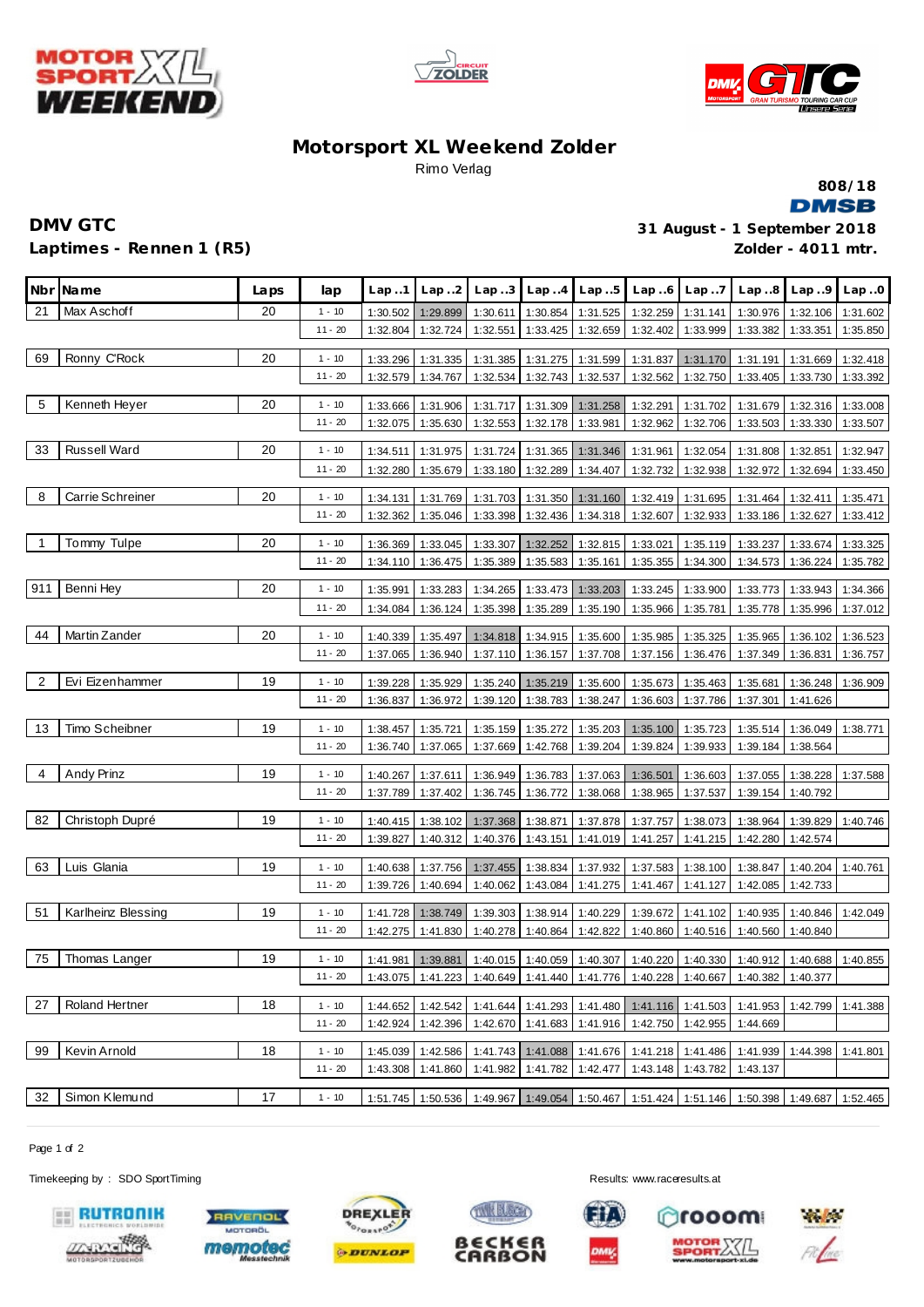





## **Motorsport XL Weekend Zolder** Rimo Verlag



## **Laptimes - Rennen 1 (R5)**

**DMV GTC 31 August - 1 September 2018 Zolder - 4011 mtr.**

|                | Nbr Name              | Laps | lap       | Lap.1                | Lap.2                | Lap.3                | Lap.4                | Lap.5                      | Lap.6                | Lap.7                | Lap.8                                                                                            | Lap.9                | Lap.0                |
|----------------|-----------------------|------|-----------|----------------------|----------------------|----------------------|----------------------|----------------------------|----------------------|----------------------|--------------------------------------------------------------------------------------------------|----------------------|----------------------|
| 21             | Max Aschoff           | 20   | $1 - 10$  | 1:30.502             | 1:29.899             | 1:30.611             | 1:30.854             | 1:31.525                   | 1:32.259             | 1:31.141             | 1:30.976                                                                                         | 1:32.106             | 1:31.602             |
|                |                       |      | $11 - 20$ | 1:32.804             | 1:32.724             | 1:32.551             | 1:33.425             | 1:32.659                   | 1:32.402             | 1:33.999             | 1:33.382                                                                                         | 1:33.351             | 1:35.850             |
| 69             | Ronny C'Rock          | 20   | $1 - 10$  | 1:33.296             | 1:31.335             | 1:31.385             | 1:31.275             | 1:31.599                   | 1:31.837             | 1:31.170             | 1:31.191                                                                                         | 1:31.669             | 1:32.418             |
|                |                       |      | $11 - 20$ | 1:32.579             | 1:34.767             | 1:32.534             | 1:32.743             | 1:32.537                   | 1:32.562             | 1:32.750             | 1:33.405                                                                                         | 1:33.730             | 1:33.392             |
| 5              | Kenneth Heyer         | 20   | $1 - 10$  |                      |                      |                      |                      |                            |                      |                      |                                                                                                  |                      |                      |
|                |                       |      | $11 - 20$ | 1:33.666<br>1:32.075 | 1:31.906<br>1:35.630 | 1:31.717<br>1:32.553 | 1:31.309<br>1:32.178 | 1:31.258<br>1:33.981       | 1:32.291<br>1:32.962 | 1:31.702<br>1:32.706 | 1:31.679<br>1:33.503                                                                             | 1:32.316<br>1:33.330 | 1:33.008<br>1:33.507 |
|                |                       |      |           |                      |                      |                      |                      |                            |                      |                      |                                                                                                  |                      |                      |
| 33             | <b>Russell Ward</b>   | 20   | $1 - 10$  | 1:34.511             | 1:31.975             | 1:31.724             | 1:31.365             | 1:31.346                   | 1:31.961             | 1:32.054             | 1:31.808                                                                                         | 1:32.851             | 1:32.947             |
|                |                       |      | $11 - 20$ | 1:32.280             | 1:35.679             | 1:33.180             | 1:32.289             | 1:34.407                   | 1:32.732             | 1:32.938             | 1:32.972                                                                                         | 1:32.694             | 1:33.450             |
| 8              | Carrie Schreiner      | 20   | 1 - 10    | 1:34.131             | 1:31.769             | 1:31.703             | 1:31.350             | 1:31.160                   | 1:32.419             | 1:31.695             | 1:31.464                                                                                         | 1:32.411             | 1:35.471             |
|                |                       |      | $11 - 20$ | 1:32.362             | 1:35.046             | 1:33.398             | 1:32.436             | 1:34.318                   | 1:32.607             | 1:32.933             | 1:33.186                                                                                         | 1:32.627             | 1:33.412             |
| 1              | Tommy Tulpe           | 20   | $1 - 10$  | 1:36.369             | 1:33.045             | 1:33.307             | 1:32.252             | 1:32.815                   | 1:33.021             | 1:35.119             | 1:33.237                                                                                         | 1:33.674             | 1:33.325             |
|                |                       |      | $11 - 20$ | 1:34.110             | 1:36.475             | 1:35.389             | 1:35.583             | 1:35.161                   | 1:35.355             | 1:34.300             |                                                                                                  | 1:34.573 1:36.224    | 1:35.782             |
| 911            | Benni Hey             | 20   | $1 - 10$  | 1:35.991             | 1:33.283             | 1:34.265             | 1:33.473             | 1:33.203                   | 1:33.245             | 1:33.900             |                                                                                                  | 1:33.773 1:33.943    | 1:34.366             |
|                |                       |      | $11 - 20$ | 1:34.084             | 1:36.124             | 1:35.398             | 1:35.289             | 1:35.190                   | 1:35.966             | 1:35.781             | 1:35.778                                                                                         | 1:35.996             | 1:37.012             |
|                |                       |      |           |                      |                      |                      |                      |                            |                      |                      |                                                                                                  |                      |                      |
| 44             | Martin Zander         | 20   | $1 - 10$  | 1:40.339             | 1:35.497             | 1:34.818             | 1:34.915             | 1:35.600                   | 1:35.985             | 1:35.325             | 1:35.965                                                                                         | 1:36.102             | 1:36.523             |
|                |                       |      | $11 - 20$ | 1:37.065             | 1:36.940             |                      | 1:37.110 1:36.157    | 1:37.708                   | 1:37.156             | 1:36.476             | 1:37.349 1:36.831                                                                                |                      | 1:36.757             |
| $\overline{2}$ | Evi Eizenhammer       | 19   | $1 - 10$  | 1:39.228             | 1:35.929             | 1:35.240             | 1:35.219             | 1:35.600                   | 1:35.673             | 1:35.463             | 1:35.681                                                                                         | 1:36.248             | 1:36.909             |
|                |                       |      | $11 - 20$ | 1:36.837             | 1:36.972             |                      | 1:39.120 1:38.783    | 1:38.247                   | 1:36.603             | 1:37.786             | 1:37.301                                                                                         | 1:41.626             |                      |
| 13             | Timo Scheibner        | 19   | $1 - 10$  | 1:38.457             | 1:35.721             | 1:35.159             | 1:35.272             | 1:35.203                   | 1:35.100             | 1:35.723             | 1:35.514                                                                                         | 1:36.049             | 1:38.771             |
|                |                       |      | $11 - 20$ | 1:36.740             | 1:37.065             |                      |                      | 1:37.669 1:42.768 1:39.204 | 1:39.824             | 1:39.933             |                                                                                                  | 1:39.184 1:38.564    |                      |
|                |                       |      |           |                      |                      |                      |                      |                            |                      |                      |                                                                                                  |                      |                      |
| 4              | Andy Prinz            | 19   | $1 - 10$  | 1:40.267             | 1:37.611             | 1:36.949             | 1:36.783             | 1:37.063                   | 1:36.501             | 1:36.603             | 1:37.055                                                                                         | 1:38.228             | 1:37.588             |
|                |                       |      | $11 - 20$ | 1:37.789             | 1:37.402             | 1:36.745             | 1:36.772             | 1:38.068                   | 1:38.965             | 1:37.537             | 1:39.154                                                                                         | 1:40.792             |                      |
| 82             | Christoph Dupré       | 19   | $1 - 10$  | 1:40.415             | 1:38.102             | 1:37.368             | 1:38.871             | 1:37.878                   | 1:37.757             | 1:38.073             | 1:38.964                                                                                         | 1:39.829             | 1:40.746             |
|                |                       |      | $11 - 20$ | 1:39.827             | 1:40.312             | 1:40.376             | 1:43.151             | 1:41.019                   | 1:41.257             | 1:41.215             | 1:42.280                                                                                         | 1:42.574             |                      |
| 63             | Luis Glania           | 19   | $1 - 10$  | 1:40.638             | 1:37.756             | 1:37.455             | 1:38.834             | 1:37.932                   | 1:37.583             | 1:38.100             | 1:38.847                                                                                         | 1:40.204             | 1:40.761             |
|                |                       |      | $11 - 20$ | 1:39.726             | 1:40.694             | 1:40.062             | 1:43.084             | 1:41.275                   | 1:41.467             | 1:41.127             | 1:42.085                                                                                         | 1:42.733             |                      |
|                |                       |      |           |                      |                      |                      |                      |                            |                      |                      |                                                                                                  |                      |                      |
| 51             | Karlheinz Blessing    | 19   | $1 - 10$  | 1:41.728             | 1:38.749             | 1:39.303             | 1:38.914             | 1:40.229                   | 1:39.672             | 1:41.102             | 1:40.935                                                                                         | 1:40.846             | 1:42.049             |
|                |                       |      | $11 - 20$ | 1:42.275             | 1:41.830             | 1:40.278             | 1:40.864             | 1:42.822                   | 1:40.860             | 1:40.516             | 1:40.560                                                                                         | 1:40.840             |                      |
| 75             | Thomas Langer         | 19   | $1 - 10$  | 1:41.981             | 1:39.881             |                      | 1:40.015 1:40.059    | 1:40.307                   | 1:40.220             | 1:40.330             | 1:40.912                                                                                         | 1:40.688             | 1:40.855             |
|                |                       |      | $11 - 20$ |                      |                      |                      |                      |                            |                      |                      | 1:43.075   1:41.223   1:40.649   1:41.440   1:41.776   1:40.228   1:40.667   1:40.382   1:40.377 |                      |                      |
| 27             | <b>Roland Hertner</b> | 18   | $1 - 10$  | 1:44.652             | 1:42.542             | 1:41.644             | 1:41.293             | 1:41.480                   |                      | 1:41.116 1:41.503    | 1:41.953                                                                                         | 1:42.799             | 1:41.388             |
|                |                       |      | $11 - 20$ | 1:42.924             | 1:42.396             |                      | 1:42.670 1:41.683    | 1:41.916                   | 1:42.750             | 1:42.955             | 1:44.669                                                                                         |                      |                      |
|                |                       |      |           |                      |                      |                      |                      |                            |                      |                      |                                                                                                  |                      |                      |
| 99             | Kevin Arnold          | 18   | $1 - 10$  | 1:45.039             | 1:42.586             | 1:41.743             | 1:41.088             | 1:41.676                   |                      | 1:41.218 1:41.486    | 1:41.939                                                                                         | 1:44.398             | 1:41.801             |
|                |                       |      | $11 - 20$ | 1:43.308             | 1:41.860             | 1:41.982             | 1:41.782             | 1:42.477                   | 1:43.148             | 1:43.782             | 1:43.137                                                                                         |                      |                      |
| 32             | Simon Klemund         | 17   | $1 - 10$  | 1:51.745             | 1:50.536             | 1:49.967             | 1:49.054             | 1:50.467                   | 1:51.424             | 1:51.146             |                                                                                                  | 1:50.398 1:49.687    | 1:52.465             |

Page 1 of 2

Timekeeping by : SDO SportTiming **Results:**<www.raceresults.at>











KIL